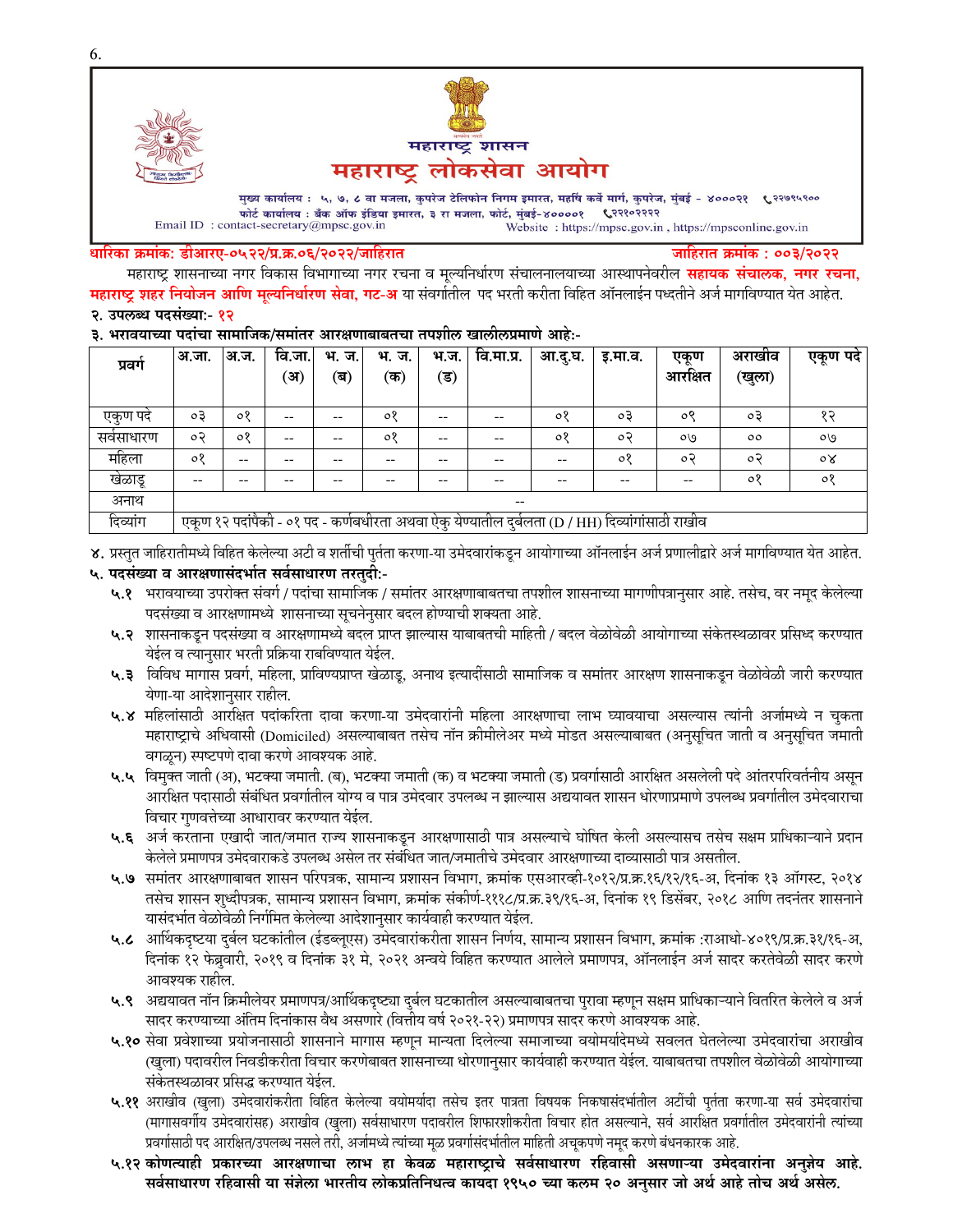

Email ID: contact-secretary@mpsc.gov.in Website: https://mpsc.gov.in, https://mpsconline.gov.in

#### धारिका क्रमांक: डीआरए-०५२२/प्र.क्र.०६/२०२२/जाहिरात

जाहिरात क्रमांक : ००३/२०२२

महाराष्ट्र शासनाच्या नगर विकास विभागाच्या नगर रचना व मूल्यनिर्धारण संचालनालयाच्या आस्थापनेवरील **सहायक संचालक, नगर रचना,** महाराष्ट्र शहर नियोजन आणि मूल्यनिर्धारण सेवा, गट-अ या संवर्गातील पद भरती करीता विहित ऑनलाईन पध्दतीने अर्ज मार्गविण्यात येत आहेत.

## २. उपलब्ध पदसंख्या:- १२

### ३. भरावयाच्या पदांचा सामाजिक/समांतर आरक्षणाबाबतचा तपशील खालीलप्रमाणे आहे:-

| प्रवग      | अ.जा.                                                                                           | <sup>9</sup> अ.ज. | वि.जा. | भ. ज. | भ.<br>ज. | भ.ज. | वि.मा.प्र. | आ.दू.घ. | इ.मा.व. | एकूण    | अराखाव  | एकूण पदे       |
|------------|-------------------------------------------------------------------------------------------------|-------------------|--------|-------|----------|------|------------|---------|---------|---------|---------|----------------|
|            |                                                                                                 |                   | (अ)    | (ब)   | (क)      | (ड)  |            |         |         | आरक्षित | (खुला)  |                |
|            |                                                                                                 |                   |        |       |          |      |            |         |         |         |         |                |
| एकण पद     | оĘ                                                                                              | $\circ$           | --     | --    | ०१       | --   | --         | ०१      | oЗ      | ०९      | oЗ      | १२             |
| सर्वसाधारण | ०२                                                                                              | $\circ$           | --     | --    | ०१       | --   | --         | ०१      | o२      | OQ      | $\circ$ | OQ             |
| महिला      | $\circ$                                                                                         | $- -$             | --     | --    |          | --   | --         | --      | $\circ$ | ०२      | $\circ$ | $\circ \times$ |
| खेळाडू     | $- -$                                                                                           |                   | --     | --    | --       | --   | --         | --      | --      | --      | 08      | ०१             |
| अनाथ       | $- -$                                                                                           |                   |        |       |          |      |            |         |         |         |         |                |
| दिव्यांग   | एकूण १२ पदांपैकी - ०१ पद - कर्णबधीरता अथवा ऐकु येण्यातील दुर्बलता (D / HH) दिव्यांगांसाठी राखीव |                   |        |       |          |      |            |         |         |         |         |                |

४. प्रस्तुत जाहिरातीमध्ये विहित केलेल्या अटी व शर्तीची पुर्तता करणा-या उमेदवारांकडून आयोगाच्या ऑनलाईन अर्ज प्रणालीद्वारे अर्ज मार्गावण्यात येत आहेत.

#### ५. पदसंख्या व आरक्षणासंदर्भात सर्वसाधारण तरतुदी:-

- ५.१ भरावयाच्या उपरोक्त संवर्ग / पदांचा सामाजिक / समांतर आरक्षणाबाबतचा तपशील शासनाच्या मागणीपत्रानुसार आहे. तसेच, वर नमूद केलेल्या पदसंख्या व आरक्षणामध्ये शासनाच्या सूचनेनुसार बदल होण्याची शक्यता आहे.
- ५.२ शासनाकडून पदसंख्या व आरक्षणामध्ये बदल प्राप्त झाल्यास याबाबतची माहिती / बदल वेळोवेळी आयोगाच्या संकेतस्थळावर प्रसिध्द करण्यात येईल व त्यानुसार भरती प्रक्रिया राबविण्यात येईल.
- ५.३ विविध मागास प्रवर्ग, महिला, प्राविण्यप्राप्त खेळाडू, अनाथ इत्यादीसाठी सामाजिक व समांतर आरक्षण शासनाकडून वेळोवेळी जारी करण्यात येणा-या आदेशानुसार राहील.
- ५.४ महिलांसाठी आरक्षित पदांकरिता दावा करणा-या उमेदवारांनी महिला आरक्षणाचा लाभ घ्यावयाचा असल्यास त्यांनी अर्जामध्ये न चुकता महाराष्ट्राचे अधिवासी (Domiciled) असल्याबाबत तसेच नॉन क्रीमीलेअर मध्ये मोडत असल्याबाबत (अनुसूचित जाती व अनुसूचित जमाती वगळून) स्पष्टपणे दावा करणे आवश्यक आहे.
- ५.५ विमुक्त जाती (अ), भटक्या जमाती. (ब), भटक्या जमाती (क) व भटक्या जमाती (ड) प्रवर्गासाठी आरक्षित असलेली पदे आंतरपरिवर्तनीय असून आरक्षित पदासाठी संबंधित प्रवर्गातील योग्य व पात्र उमेदवार उपलब्ध न झाल्यास अद्ययावत शासन धोरणाप्रमाणे उपलब्ध प्रवर्गातील उमेदवाराचा विचार गुणवत्तेच्या आधारावर करण्यात येईल.
- ५.६ अर्ज करताना एखादी जात/जमात राज्य शासनाकडून आरक्षणासाठी पात्र असल्याचे घोषित केली असल्यासच तसेच सक्षम प्राधिकाऱ्याने प्रदान केलेले प्रमाणपत्र उमेदवाराकडे उपलब्ध असेल तर संबंधित जात/जमातीचे उमेदवार आरक्षणाच्या दाव्यासाठी पात्र असतील.
- ५.७ समांतर आरक्षणाबाबत शासन परिपत्रक, सामान्य प्रशासन विभाग, क्रमांक एसआरव्ही-१०१२/प्र.क्र.१६/१२/१६-अ, दिनांक १३ ऑगस्ट, २०१४ तसेच शासन शुध्दीपत्रक, सामान्य प्रशासन विभाग, क्रमांक संकीर्ण-१११८/प्र.क्र.३९/१६-अ, दिनांक १९ डिसेंबर, २०१८ आणि तदनंतर शासनाने यासंदर्भात वेळोवेळी निर्गमित केलेल्या आदेशानुसार कार्यवाही करण्यात येईल.
- ५.८ आर्थिकदृष्टया दुर्बल घटकांतील (ईडब्लूएस) उमेदवारांकरीता शासन निर्णय, सामान्य प्रशासन विभाग, क्रमांक :राआधो-४०१९/प्र.क्र.३१/१६-अ, दिनांक १२ फेब्रुवारी, २०१९ व दिनांक ३१ मे, २०२१ अन्वये विहित करण्यात आलेले प्रमाणपत्र, ऑनलाईन अर्ज सादर करतेवेळी सादर करणे आवश्यक राहील.
- ५.९ अद्ययावत नॉन क्रिमीलेयर प्रमाणपत्र/आर्थिकदृष्ट्या दुर्बल घटकातील असल्याबाबतचा पुरावा म्हणून सक्षम प्राधिकाऱ्याने वितरित केलेले व अर्ज सादर करण्याच्या अंतिम दिनांकास वैध असणारे (वित्तीय वर्ष २०२१-२२) प्रमाणपत्र सादर करणे आवश्यक आहे.
- ५.१० सेवा प्रवेशाच्या प्रयोजनासाठी शासनाने मागास म्हणून मान्यता दिलेल्या समाजाच्या वयोमर्यादेमध्ये सवलत घेतलेल्या उमेदवारांचा अराखीव (खुला) पदावरील निवडीकरीता विचार करणेबाबत शासनाच्या धोरणानुसार कार्यवाही करण्यात येईल. याबाबतचा तपशील वेळोवेळी आयोगाच्या संकेतस्थळावर प्रसिद्ध करण्यात येईल.
- ५.११ अराखीव (खुला) उमेदवारांकरीता विहित केलेल्या वयोमर्यादा तसेच इतर पात्रता विषयक निकषासंदर्भातील अटींची पुर्तता करणा-या सर्व उमेदवारांचा (मागासवर्गीय उमेदवारांसह) अराखीव (खुला) सर्वसाधारण पदावरील शिफारशीकरीता विचार होत असल्याने, सर्व आरक्षित प्रवर्गातील उमेदवारांनी त्यांच्या प्रवर्गासाठी पद आरक्षित/उपलब्ध नसले तरी, अर्जामध्ये त्यांच्या मूळ प्रवर्गासंदर्भातील माहिती अचूकपणे नमुद करणे बंधनकारक आहे.
- ५.१२ कोणत्याही प्रकारच्या आरक्षणाचा लाभ हा केवळ महाराष्ट्राचे सर्वसाधारण रहिवासी असणाऱ्या उमेदवारांना अनुज्ञेय आहे. सर्वसाधारण रहिवासी या संज्ञेला भारतीय लोकप्रतिनिधत्व कायदा १९५० च्या कलम २० अनसार जो अर्थ आहे तोच अर्थ असेल.

6.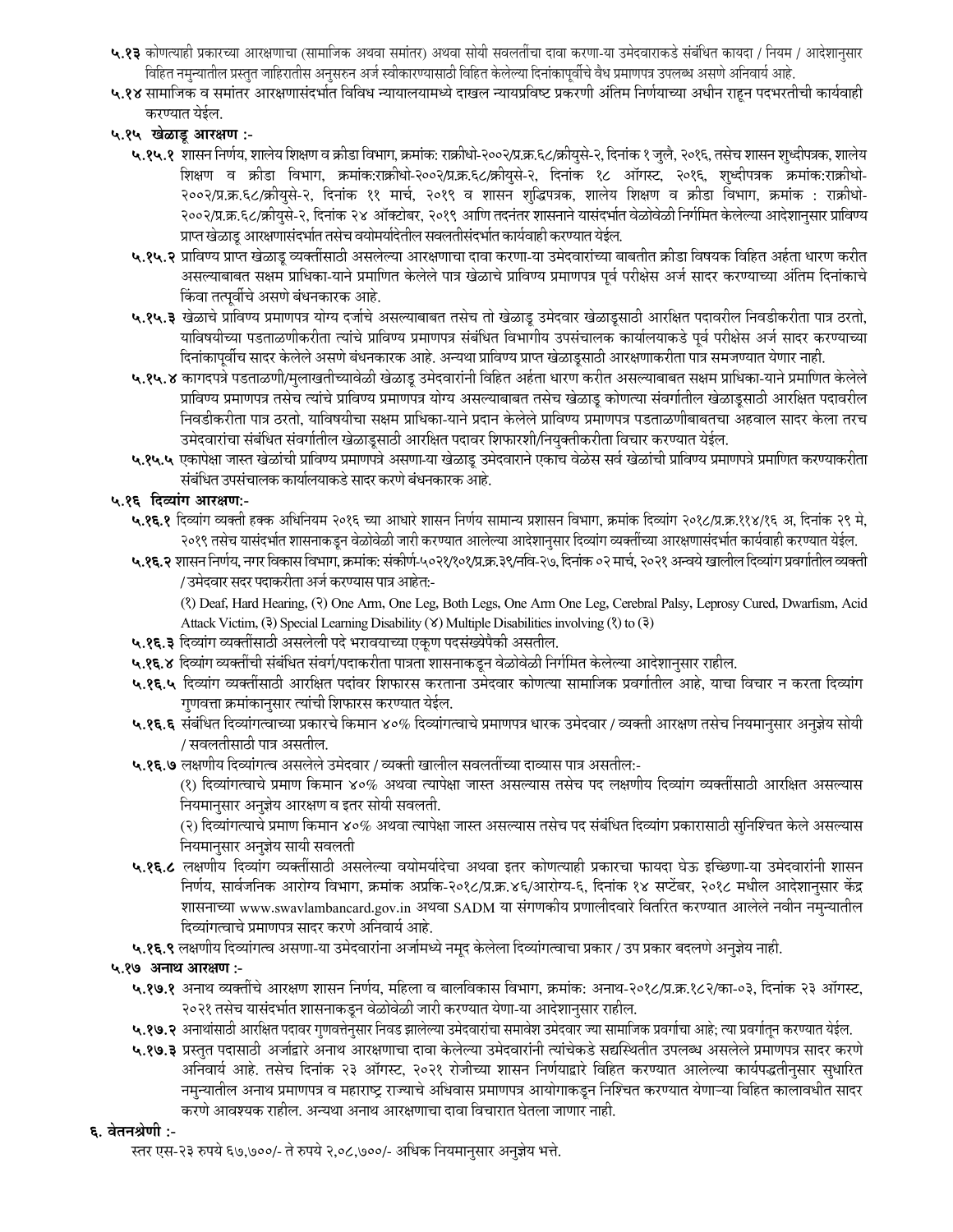- ५.१३ कोणत्याही प्रकारच्या आरक्षणाचा (सामाजिक अथवा समांतर) अथवा सोयी सवलतींचा दावा करणा-या उमेदवाराकडे संबंधित कायदा / नियम / आदेशानुसार विहित नमुन्यातील प्रस्तुत जाहिरातीस अनुसरुन अर्ज स्वीकारण्यासाठी विहित केलेल्या दिनांकापूर्वीचे वैध प्रमाणपत्र उपलब्ध असणे अनिवार्य आहे.
- ५.१४ सामाजिक व समांतर आरक्षणासंदर्भात विविध न्यायालयामध्ये दाखल न्यायप्रविष्ट प्रकरणी अंतिम निर्णयाच्या अधीन राहून पदभरतीची कार्यवाही करण्यात येईल.
- ५.१५ खेळाडू आरक्षण :-
	- ५.१५.१ शासन निर्णय, शालेय शिक्षण व क्रीडा विभाग, क्रमांक: राक्रीधो-२००२/प्र.क्र.६८/क्रीयुसे-२, दिनांक १ जुलै, २०१६, तसेच शासन शुध्दीपत्रक, शालेय शिक्षण व क्रीडा विभाग, क्रमांक:राक्रीधो-२००२/प्र.क.६८/क्रीयुसे-२, दिनांक १८ ऑगस्ट, २०१६, शुध्दीपत्रक क्रमांक:राक्रीधो-२००२/प्र.क्र.६८/क्रीयुसे-२, दिनांक ११ मार्च, २०१९ व शासन शुद्धिपत्रक, शालेय शिक्षण व क्रीडा विभाग, क्रमांक : राक्रीधो-२००२/प्र.क्र.६८/क्रीयसे-२, दिनांक २४ ऑक्टोबर, २०१९ आणि तदनंतर शासनाने यासंदर्भात वेळोवेळी निर्गमित केलेल्या आदेशानसार प्राविण्य प्राप्त खेळाडू आरक्षणासंदर्भात तसेच वयोमर्यादेतील सवलतीसंदर्भात कार्यवाही करण्यात येईल.
	- ५.१५.२ प्राविण्य प्राप्त खेळाडू व्यक्तींसाठी असलेल्या आरक्षणाचा दावा करणा-या उमेदवारांच्या बाबतीत क्रीडा विषयक विहित अर्हता धारण करीत असल्याबाबत सक्षम प्राधिका-याने प्रमाणित केलेले पात्र खेळाचे प्राविण्य प्रमाणपत्र पूर्व परीक्षेस अर्ज सादर करण्याच्या अंतिम दिनांकाचे किंवा तत्पूर्वीचे असणे बंधनकारक आहे.
	- ५.१५.३ खेळाचे प्राविण्य प्रमाणपत्र योग्य दर्जाचे असल्याबाबत तसेच तो खेळाडू उमेदवार खेळाडूसाठी आरक्षित पदावरील निवडीकरीता पात्र ठरतो, याविषयीच्या पडताळणीकरीता त्यांचे प्राविण्य प्रमाणपत्र संबंधित विभागीय उपसंचालक कार्यालयाकडे पूर्व परीक्षेस अर्ज सादर करण्याच्या दिनांकापूर्वीच सादर केलेले असणे बंधनकारक आहे. अन्यथा प्राविण्य प्राप्त खेळाडूसाठी आरक्षणाकरीता पात्र समजण्यात येणार नाही.
	- ५.१५.४ कागदपत्रे पडताळणी/मुलाखतीच्यावेळी खेळाडू उमेदवारांनी विहित अर्हता धारण करीत असल्याबाबत सक्षम प्राधिका-याने प्रमाणित केलेले प्राविण्य प्रमाणपत्र तसेच त्यांचे प्राविण्य प्रमाणपत्र योग्य असल्याबाबत तसेच खेळाडू कोणत्या संवर्गातील खेळाडूसाठी आरक्षित पदावरील निवडीकरीता पात्र ठरतो, याविषयीचा सक्षम प्राधिका-याने प्रदान केलेले प्राविण्य प्रमाणपत्र पडताळणीबाबतचा अहवाल सादर केला तरच उमेदवारांचा संबंधित संवर्गातील खेळाडूसाठी आरक्षित पदावर शिफारशी/नियुक्तीकरीता विचार करण्यात येईल.
	- ५.१५.५ एकापेक्षा जास्त खेळांची प्राविण्य प्रमाणपत्रे असणा-या खेळाडू उमेदवाराने एकाच वेळेस सर्व खेळांची प्राविण्य प्रमाणपत्रे प्रमाणित करण्याकरीता संबंधित उपसंचालक कार्यालयाकडे सादर करणे बंधनकारक आहे.

## ५.१६ दिव्यांग आरक्षण:-

- ५.१६.१ दिव्यांग व्यक्ती हक्क अधिनियम २०१६ च्या आधारे शासन निर्णय सामान्य प्रशासन विभाग, क्रमांक दिव्यांग २०१८/प्र.क्र.११४/१६ अ, दिनांक २९ मे, २०१९ तसेच यासंदर्भात शासनाकडून वेळोवेळी जारी करण्यात आलेल्या आदेशानुसार दिव्यांग व्यक्तींच्या आरक्षणासंदर्भात कार्यवाही करण्यात येईल.
- ५.१६.२ शासन निर्णय, नगर विकास विभाग, क्रमांक: संकीर्ण-५०२१/१०१/प्र.क्र.३९/नवि-२७, दिनांक ०२ मार्च, २०२१ अन्वये खालील दिव्यांग प्रवर्गातील व्यक्ती / उमेदवार सदर पदाकरीता अर्ज करण्यास पात्र आहेत:-

(?) Deaf, Hard Hearing, (?) One Arm, One Leg, Both Legs, One Arm One Leg, Cerebral Palsy, Leprosy Cured, Dwarfism, Acid Attack Victim, (3) Special Learning Disability (8) Multiple Disabilities involving (3) to (3)

- ५.१६.३ दिव्यांग व्यक्तींसाठी असलेली पदे भरावयाच्या एकृण पदसंख्येपैकी असतील.
- ५.१६.४ दिव्यांग व्यक्तींची संबंधित संवर्ग/पदाकरीता पात्रता शासनाकडून वेळोवेळी निर्गमित केलेल्या आदेशानुसार राहील.
- ५.**१६.५** दिव्यांग व्यक्तींसाठी आरक्षित पदांवर शिफारस करताना उमेदवार कोणत्या सामाजिक प्रवर्गातील आहे, याचा विचार न करता दिव्यांग गुणवत्ता क्रमांकानुसार त्यांची शिफारस करण्यात येईल.
- ५.१६.६ संबंधित दिव्यांगत्वाच्या प्रकारचे किमान ४०% दिव्यांगत्वाचे प्रमाणपत्र धारक उमेदवार / व्यक्ती आरक्षण तसेच नियमानुसार अनुज्ञेय सोयी / सवलतीसाठी पात्र असतील.
- ५.१६.७ लक्षणीय दिव्यांगत्व असलेले उमेदवार / व्यक्ती खालील सवलतींच्या दाव्यास पात्र असतील:-

(१) दिव्यांगत्वाचे प्रमाण किमान ४०% अथवा त्यापेक्षा जास्त असल्यास तसेच पद लक्षणीय दिव्यांग व्यक्तींसाठी आरक्षित असल्यास नियमानसार अनुज्ञेय आरक्षण व इतर सोयी सवलती.

(२) दिव्यांगत्याचे प्रमाण किमान ४०% अथवा त्यापेक्षा जास्त असल्यास तसेच पद संबंधित दिव्यांग प्रकारासाठी सुनिश्चित केले असल्यास नियमानुसार अनुज्ञेय सायी सवलती

- ५.१६.८ लक्षणीय दिव्यांग व्यक्तींसाठी असलेल्या वयोमर्यादेचा अथवा इतर कोणत्याही प्रकारचा फायदा घेऊ इच्छिणा-या उमेदवारांनी शासन निर्णय, सार्वजनिक आरोग्य विभाग, क्रमांक अप्रकि-२०१८/प्र.क्र.४६/आरोग्य-६, दिनांक १४ सप्टेंबर, २०१८ मधील आदेशानुसार केंद्र शासनाच्या www.swavlambancard.gov.in अथवा SADM या संगणकीय प्रणालीदवारे वितरित करण्यात आलेले नवीन नमुन्यातील दिव्यांगत्वाचे प्रमाणपत्र सादर करणे अनिवार्य आहे.
- ५.१६.९ लक्षणीय दिव्यांगत्व असणा-या उमेदवारांना अर्जामध्ये नमूद केलेला दिव्यांगत्वाचा प्रकार / उप प्रकार बदलणे अनुज्ञेय नाही.

## ५.१७ अनाथ आरक्षण :-

- ५.१७.१ अनाथ व्यक्तींचे आरक्षण शासन निर्णय, महिला व बालविकास विभाग, क्रमांक: अनाथ-२०१८/प्र.क्र.१८२/का-०३, दिनांक २३ ऑगस्ट, २०२१ तसेच यासंदर्भात शासनाकडून वेळोवेळी जारी करण्यात येणा-या आदेशानुसार राहील.
- ५.१७.२ अनाथांसाठी आरक्षित पदावर गुणवत्तेनुसार निवड झालेल्या उमेदवारांचा समावेश उमेदवार ज्या सामाजिक प्रवर्गाचा आहे; त्या प्रवर्गातून करण्यात येईल.
- ५.१७.३ प्रस्तुत पदासाठी अर्जाद्वारे अनाथ आरक्षणाचा दावा केलेल्या उमेदवारांनी त्यांचेकडे सद्यस्थितीत उपलब्ध असलेले प्रमाणपत्र सादर करणे अनिवार्य आहे. तसेच दिनांक २३ ऑगस्ट, २०२१ रोजीच्या शासन निर्णयाद्वारे विहित करण्यात आलेल्या कार्यपद्धतीनुसार सुधारित नमुन्यातील अनाथ प्रमाणपत्र व महाराष्ट्र राज्याचे अधिवास प्रमाणपत्र आयोगाकडून निश्चित करण्यात येणाऱ्या विहित कालावधीत सादर करणे आवश्यक राहील. अन्यथा अनाथ आरक्षणाचा दावा विचारात घेतला जाणार नाही.

### ६. वेतनश्रेणी :-

स्तर एस-२३ रुपये ६७,७००/- ते रुपये २,०८,७००/- अधिक नियमानुसार अनुज्ञेय भत्ते.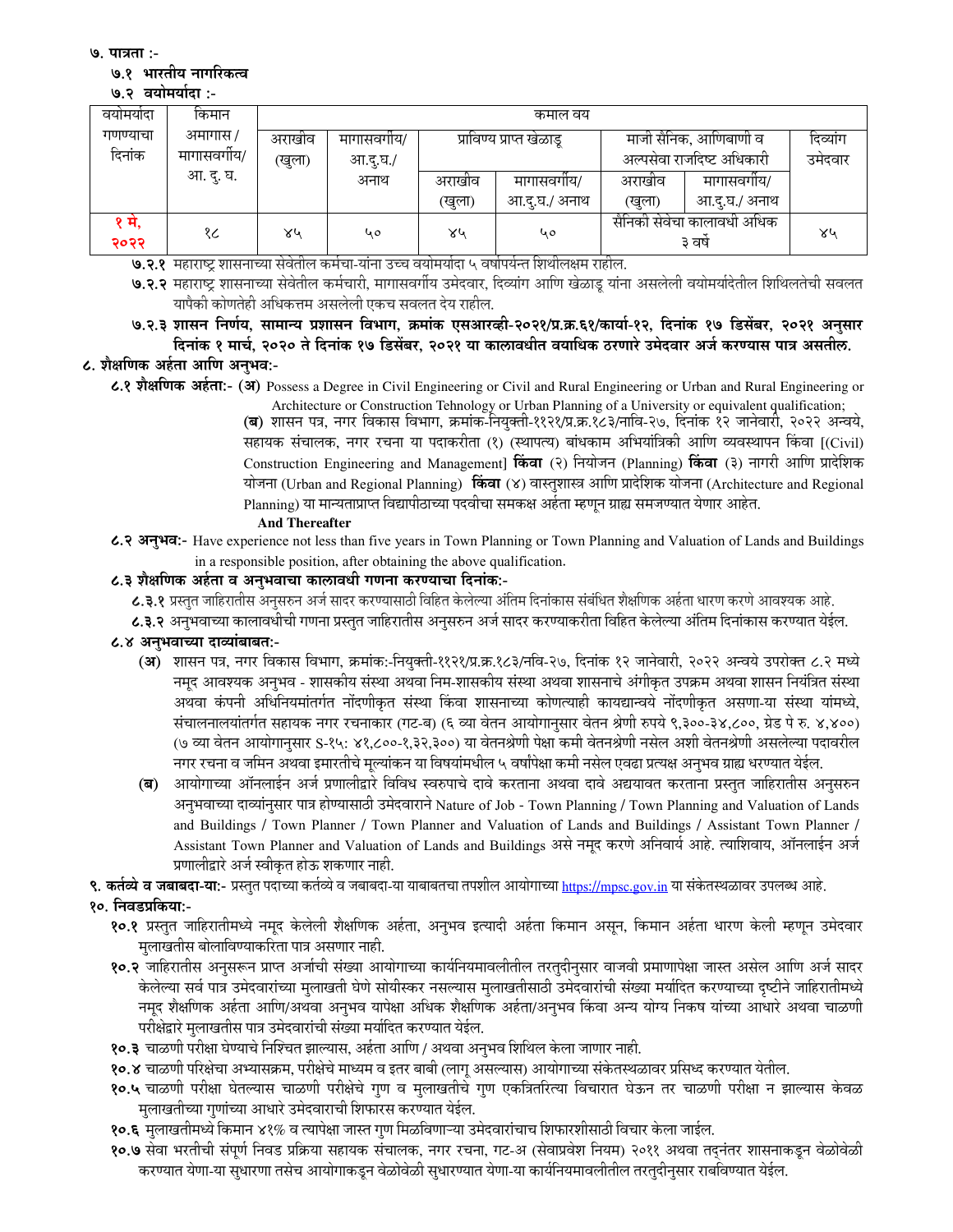७. पात्रता :-

### ७.१ भारतीय नागरिकत्व

#### ७.२ वयोमर्यादा :-

| वयामयादा | किमान      | कमाल वय |            |        |                          |                            |                       |         |
|----------|------------|---------|------------|--------|--------------------------|----------------------------|-----------------------|---------|
| गणण्याचा | अमागास /   | अराखीव  | मागासवगीय/ |        | प्राविण्य प्राप्त खेळाडू |                            | माजी सैनिक, आणिबाणी व |         |
| दिनांक   | मागासवगीय/ |         | आ.दू.घ./   |        |                          | अल्पसेवा राजदिष्ट अधिकारी  |                       | उमेदवार |
|          | आ. दु. घ.  |         | अनाथ       | अराखीव | मागासवगोय/               | अराखांव                    | मागासवगीय/            |         |
|          |            |         |            | (खुला) | आ.दु.घ./ अनाथ            | (खुला)                     | आ.दु.घ./ अनाथ         |         |
| १ म,     | १८         | ४५      | 40         | ४५     | ५०                       | सैनिकी सेवेचा कालावधी अधिक |                       | ४५      |
| २०२२     |            | $\sim$  |            |        |                          |                            | ३ वर्ष                |         |

७.२.१ महाराष्ट्र शासनाच्या सेवेतील कर्मचा-यांना उच्च वयोमर्यादा ५ वर्षापर्यन्त शिथीलक्षम राहील.

७.२.२ महाराष्ट्र शासनाच्या सेवेतील कर्मचारी, मागासवर्गीय उमेदवार, दिव्यांग आणि खेळाडू यांना असलेली वयोमर्यादेतील शिथिलतेची सवलत यापैकी कोणतेही अधिकत्तम असलेली एकच सवलत देय राहील.

७.२.३ शासन निर्णय, सामान्य प्रशासन विभाग, क्रमांक एसआरव्ही-२०२१/प्र.क्र.६१/कार्या-१२, दिनांक १७ डिसेंबर, २०२१ अनुसार दिनांक १ मार्च, २०२० ते दिनांक १७ डिसेंबर, २०२१ या कालावधीत वयाधिक ठरणारे उमेदवार अर्ज करण्यास पात्र असतील.

# ८. शैक्षणिक अर्हता आणि अनभव:-

८.१ शैक्षणिक अर्हता:- (अ) Possess a Degree in Civil Engineering or Civil and Rural Engineering or Urban and Rural Engineering or

Architecture or Construction Tehnology or Urban Planning of a University or equivalent qualification; (ब) शासन पत्र, नगर विकास विभाग, क्रमांक-नियुक्ती-११२१/प्र.क्र.१८३/नावि-२७, दिनांक १२ जानेवारी, २०२२ अन्वये, सहायक संचालक, नगर रचना या पदाकरीता (१) (स्थापत्य) बांधकाम अभियांत्रिकी आणि व्यवस्थापन किंवा [(Civil) Construction Engineering and Management] किंवा (२) नियोजन (Planning) किंवा (३) नागरी आणि प्रादेशिक योजना (Urban and Regional Planning) किंवा (४) वास्तूशास्त्र आणि प्रादेशिक योजना (Architecture and Regional Planning) या मान्यताप्राप्त विद्यापीठाच्या पदवीचा समकक्ष अर्हता म्हणन ग्राह्य समजण्यात येणार आहेत.

#### **And Thereafter**

८.२ अनुभव:- Have experience not less than five years in Town Planning or Town Planning and Valuation of Lands and Buildings in a responsible position, after obtaining the above qualification.

## ८.३ शैक्षणिक अर्हता व अनुभवाचा कालावधी गणना करण्याचा दिनांक:-

८.३.१ प्रस्तुत जाहिरातीस अनुसरुन अर्ज सादर करण्यासाठी विहित केलेल्या अंतिम दिनांकास संबंधित शैक्षणिक अर्हता धारण करणे आवश्यक आहे.

८.३.२ अनॅभवाच्या कालावधीची गणना प्रस्तत जाहिरातीस अनसरुन अर्ज सादर करण्याकरीता विहित केलेल्या अंतिम दिनांकास करण्यात येईल.

## ८.४ अनभवाच्या दाव्यांबाबत:-

- (अ) शासन पत्र, नगर विकास विभाग, क्रमांक:-नियुक्ती-११२१/प्र.क्र.१८३/नवि-२७, दिनांक १२ जानेवारी, २०२२ अन्वये उपरोक्त ८.२ मध्ये नमूद आवश्यक अनुभव - शासकीय संस्था अथवा निम-शासकीय संस्था अथवा शासनाचे अंगीकृत उपक्रम अथवा शासन नियंत्रित संस्था अथवा कंपनी अधिनियमांतर्गत नोंदणीकृत संस्था किंवा शासनाच्या कोणत्याही कायद्यान्वये नोंदणीकृत असणा-या संस्था यांमध्ये, संचालनालयांतर्गत सहायक नगर रचनाकार (गट-ब) (६ व्या वेतन आयोगानसार वेतन श्रेणी रुपये ९.३००-३४.८००, ग्रेड पे रु. ४.४००) (७ व्या वेतन आयोगानुसार S-१५: ४१,८००-१,३२,३००) या वेतनश्रेणी पेक्षा कमी वेतनश्रेणी नसेल अशी वेतनश्रेणी असलेल्या पदावरील नगर रचना व जमिन अथवा इमारतीचे मुल्यांकन या विषयांमधील ५ वर्षांपेक्षा कमी नसेल एवढा प्रत्यक्ष अनुभव ग्राह्य धरण्यात येईल.
- (ब) आयोगाच्या ऑनलाईन अर्ज प्रणालीद्वारे विविध स्वरुपाचे दावे करताना अथवा दावे अद्ययावत करताना प्रस्तुत जाहिरातीस अनुसरुन अनुभवाच्या दाव्यांनुसार पात्र होण्यासाठी उमेदवाराने Nature of Job - Town Planning / Town Planning and Valuation of Lands and Buildings / Town Planner / Town Planner and Valuation of Lands and Buildings / Assistant Town Planner / Assistant Town Planner and Valuation of Lands and Buildings असे नमूद करणे अनिवार्य आहे. त्याशिवाय, ऑनलाईन अर्ज प्रणालीद्वारे अर्ज स्वीकृत होऊ शकणार नाही.

९. कर्तव्ये व जबाबदा-या:- प्रस्तुत पदाच्या कर्तव्ये व जबाबदा-या याबाबतचा तपशील आयोगाच्या https://mpsc.gov.in या संकेतस्थळावर उपलब्ध आहे.

- १०. निवडप्रकिया:-
	- १०.१ प्रस्तूत जाहिरातीमध्ये नमुद केलेली शैक्षणिक अर्हता, अनुभव इत्यादी अर्हता किमान असून, किमान अर्हता धारण केली म्हणून उमेदवार मलाखतीस बोलाविण्याकरिता पात्र असणार नाही.
	- १०.२ जाहिरातीस अनुसरून प्राप्त अर्जाची संख्या आयोगाच्या कार्यनियमावलीतील तरतुदीनुसार वाजवी प्रमाणापेक्षा जास्त असेल आणि अर्ज सादर .<br>केलेल्या सर्व पात्र उमेदवारांच्या मुलाखती घेणे सोयीस्कर नसल्यास मुलाखतीसाठी उमेदवारांची संख्या मर्यादित करण्याच्या दृष्टीने जाहिरातीमध्ये नमूद शैक्षणिक अर्हता आणि/अथवा अनुभव यापेक्षा अधिक शैक्षणिक अर्हता/अनुभव किंवा अन्य योग्य निकष यांच्या आधारे अथवा चाळणी परीक्षेद्वारे मुलाखतीस पात्र उमेदवारांची संख्या मर्यादित करण्यात येईल.
	- १०.३ चाळणी परीक्षा घेण्याचे निश्चित झाल्यास, अर्हता आणि / अथवा अनुभव शिथिल केला जाणार नाही.
	- १०.४ चाळणी परिक्षेचा अभ्यासक्रम, परीक्षेचे माध्यम व इतर बाबी (लागू असल्यास) आयोगाच्या संकेतस्थळावर प्रसिध्द करण्यात येतील.
	- १०.५ चाळणी परीक्षा घेतल्यास चाळणी परीक्षेचे गण व मुलाखतीचे गण एकत्रितरित्या विचारात घेऊन तर चाळणी परीक्षा न झाल्यास केवळ मुलाखतीच्या गुणांच्या आधारे उमेदवाराची शिफारस करण्यात येईल.
	- १०.६ मुलाखतीमध्ये किमान ४१% व त्यापेक्षा जास्त गुण मिळविणाऱ्या उमेदवारांचाच शिफारशीसाठी विचार केला जाईल.
	- १०.७ सेवा भरतीची संपूर्ण निवड प्रक्रिया सहायक संचालक, नगर रचना, गट-अ (सेवाप्रवेश नियम) २०११ अथवा तद्नंतर शासनाकडून वेळोवेळी करण्यात येणा-या सुधारणा तसेच आयोगाकडून वेळोवेळी सुधारण्यात येणा-या कार्यनियमावलीतील तरतुदीनुसार राबविण्यात येईल.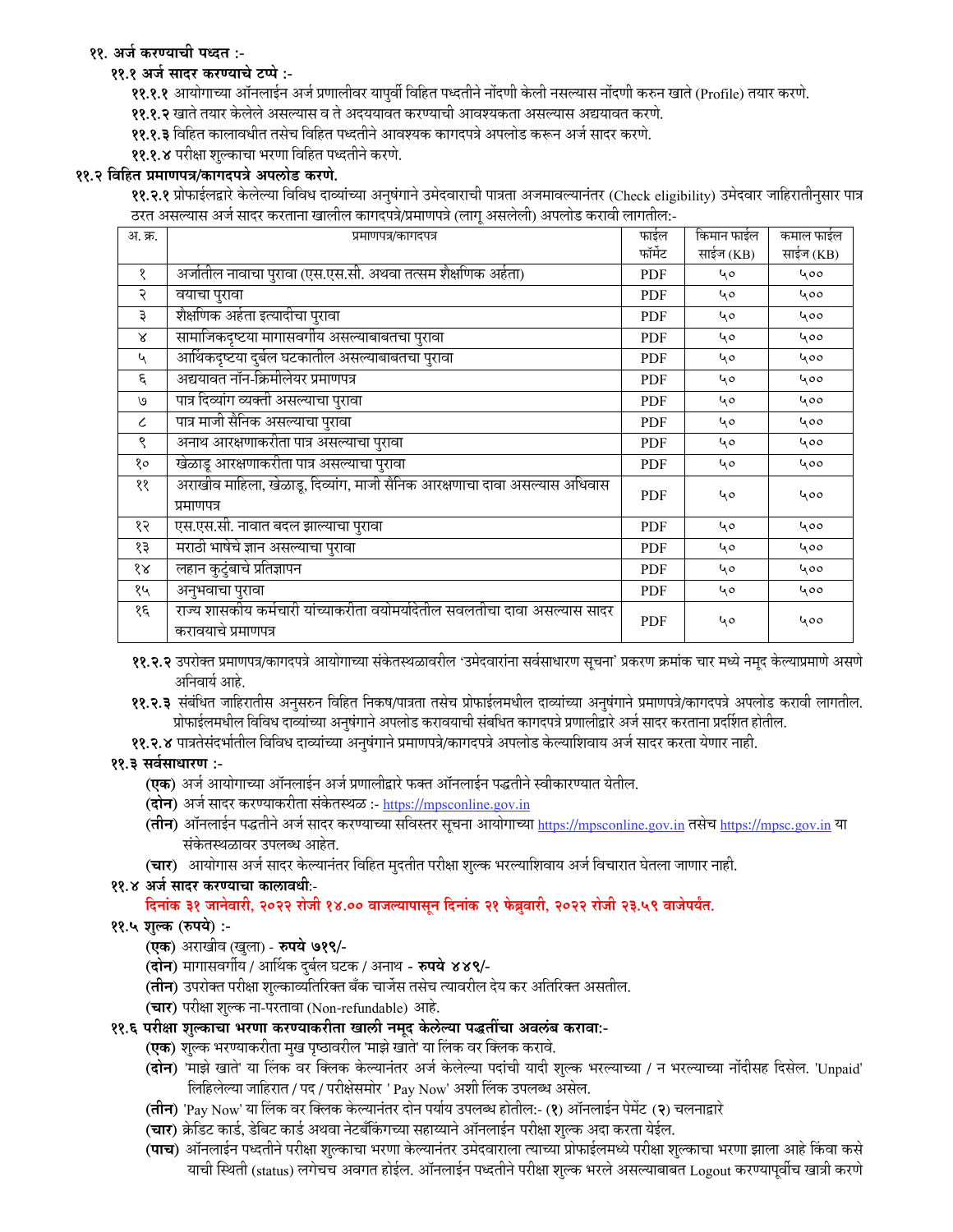# ११. अर्ज करण्याची पध्दत :-

## ११.१ अर्ज सादर करण्याचे टप्पे :-

११.१.१ आयोगाच्या ऑनलाईन अर्ज प्रणालीवर यापुर्वी विहित पध्दतीने नोंदणी केली नसल्यास नोंदणी करुन खाते (Profile) तयार करणे.

- ११.१.२ खाते तयार केलेले असल्यास व ते अदययावत करण्याची आवश्यकता असल्यास अद्ययावत करणे.
- ११.१.३ विहित कालावधीत तसेच विहित पध्दतीने आवश्यक कागदपत्रे अपलोड करून अर्ज सादर करणे.
- ११.१.४ परीक्षा शुल्काचा भरणा विहित पध्दतीने करणे.

## ११.२ विहित प्रमाणपत्र/कागदपत्रे अपलोड करणे.

११.२.१ प्रोफाईलद्वारे केलेल्या विविध दाव्यांच्या अनुषंगाने उमेदवाराची पात्रता अजमावल्यानंतर (Check eligibility) उमेदवार जाहिरातीनुसार पात्र ठरत असल्यास अर्ज सादर करताना खालील कागदपत्रे/प्रमाणपत्रे (लाग् असलेली) अपलोड करावी लागतील:-

| अ. क्र.                   | प्रमाणपत्र/कागदपत्र                                                                               | फाईल       | किमान फाईल | कमाल फाईल |
|---------------------------|---------------------------------------------------------------------------------------------------|------------|------------|-----------|
|                           |                                                                                                   | फॉर्मेट    | साईज (KB)  | साईज (KB) |
| १                         | अर्जातील नावाचा पुरावा (एस.एस.सी. अथवा तत्सम शैक्षणिक अर्हता)                                     | PDF        | 40         | 400       |
| २                         | वयाचा पुरावा                                                                                      | PDF        | 40         | 400       |
| ३                         | शैक्षणिक अर्हता इत्यादीचा पुरावा                                                                  | <b>PDF</b> | 40         | 400       |
| $\boldsymbol{\mathsf{x}}$ | सामाजिकदृष्टया मागासवर्गीय असल्याबाबतचा पुरावा                                                    | <b>PDF</b> | 40         | 400       |
| ५                         | आर्थिकदृष्टया दुर्बल घटकातील असल्याबाबतचा पुरावा                                                  | <b>PDF</b> | 40         | 400       |
| ξ                         | अद्ययावत नॉन-क्रिमीलेयर प्रमाणपत्र                                                                | <b>PDF</b> | 40         | 400       |
| $\mathcal{O}$             | पात्र दिव्यांग व्यक्ती असल्याचा पुरावा                                                            | <b>PDF</b> | 40         | 400       |
| $\epsilon$                | पात्र माजी सैनिक असल्याचा पुरावा                                                                  | <b>PDF</b> | 40         | 400       |
| ९                         | अनाथ आरक्षणाकरीता पात्र असल्याचा पुरावा                                                           | <b>PDF</b> | 40         | 400       |
| १०                        | खेळाडू आरक्षणाकरीता पात्र असल्याचा पुरावा                                                         | <b>PDF</b> | 40         | 400       |
| ११                        | .<br>अराखीव माहिला, खेळाडू, दिव्यांग, माजी सैनिक आरक्षणाचा दावा असल्यास अधिवास<br>प्रमाणपत्र      | <b>PDF</b> | 40         | 400       |
| १२                        | एस.एस.सी. नावात बदल झाल्याचा पुरावा                                                               | <b>PDF</b> | 40         | 400       |
| १३                        | मराठी भाषेचे ज्ञान असल्याचा पुरावा                                                                | PDF        | 40         | 400       |
| $\delta \mathcal{R}$      | लहान कुटुंबाचे प्रतिज्ञापन                                                                        | PDF        | 40         | 400       |
| १५                        | अनुभवाचा पुरावा                                                                                   | <b>PDF</b> | 40         | 400       |
| १६                        | राज्य शासकीय कर्मचारी यांच्याकरीता वयोमर्यादेतील सवलतीचा दावा असल्यास सादर<br>करावयाचे प्रमाणपत्र | <b>PDF</b> | 40         | 400       |

११.२.२ उपरोक्त प्रमाणपत्र/कागदपत्रे आयोगाच्या संकेतस्थळावरील 'उमेदवारांना सर्वसाधारण सूचना' प्रकरण क्रमांक चार मध्ये नमुद केल्याप्रमाणे असणे अनिवार्य आहे.

११.२.३ संबंधित जाहिरातीस अनुसरुन विहित निकष/पात्रता तसेच प्रोफाईलमधील दाव्यांच्या अनुषंगाने प्रमाणपत्रे/कागदपत्रे अपलोड करावी लागतील. प्रोफाईलमधील विविध दाव्यांच्या अनुषंगाने अपलोड करावयाची संबधित कागदपत्रे प्रणालीद्वारे अर्ज सादर करताना प्रदर्शित होतील.

११.२.४ पात्रतेसंदर्भातील विविध दाव्यांच्या अनुषंगाने प्रमाणपत्रे/कागदपत्रे अपलोड केल्याशिवाय अर्ज सादर करता येणार नाही.

## ११.३ सर्वसाधारण :-

- (एक) अर्ज आयोगाच्या ऑनलाईन अर्ज प्रणालीद्वारे फक्त ऑनलाईन पद्धतीने स्वीकारण्यात येतील.
- (दोन) अर्ज सादर करण्याकरीता संकेतस्थळ :- https://mpsconline.gov.in
- (तीन) ऑनलाईन पद्धतीने अर्ज सादर करण्याच्या सविस्तर सूचना आयोगाच्या https://mpsconline.gov.in तसेच https://mpsc.gov.in या संकेतस्थळावर उपलब्ध आहेत.
- (चार) आयोगास अर्ज सादर केल्यानंतर विहित मुदतीत परीक्षा शुल्क भरल्याशिवाय अर्ज विचारात घेतला जाणार नाही.

## ११.४ अर्ज सादर करण्याचा कालावधीः-

दिनांक ३१ जानेवारी, २०२२ रोजी १४.०० वाजल्यापासून दिनांक २१ फेब्रुवारी, २०२२ रोजी २३.५९ वाजेपर्यंत.

## ११.५ शुल्क (रुपये) :-

- (एक) अराखीव (खुला) रुपये ७१९/-
- (दोन) मागासवर्गीय / आर्थिक दुर्बल घटक / अनाथ रुपये ४४९/-
- (**तीन**) उपरोक्त परीक्षा शुल्काव्यतिरिक्त बँक चार्जेस तसेच त्यावरील देय कर अतिरिक्त असतील.
- (चार) परीक्षा शुल्क ना-परतावा (Non-refundable) आहे.
- ११.६ परीक्षा शुल्काचा भरणा करण्याकरीता खाली नमूद केलेल्या पद्धतींचा अवलंब करावा:-
	- (एक) शुल्क भरण्याकरीता मुख पृष्ठावरील 'माझे खाते' या लिंक वर क्लिक करावे.
	- (**दोन**) 'माझे खाते' या लिंक वर क्लिक केल्यानंतर अर्ज केलेल्या पदांची यादी शुल्क भरल्याच्या / न भरल्याच्या नोंदीसह दिसेल. 'Unpaid' लिहिलेल्या जाहिरात / पद / परीक्षेसमोर ' Pay Now' अशी लिंक उपलब्ध असेल.
	- (**तीन**) 'Pay Now' या लिंक वर क्लिक केल्यानंतर दोन पर्याय उपलब्ध होतील:- (१) ऑनलाईन पेमेंट (२) चलनाद्वारे
	- (चार) क्रेडिट कार्ड, डेबिट कार्ड अथवा नेटबँकिंगच्या सहाय्याने ऑनलाईन परीक्षा शुल्क अदा करता येईल.
	- (**पाच**) ऑनलाईन पध्दतीने परीक्षा शुल्काचा भरणा केल्यानंतर उमेदवाराला त्याच्या प्रोफाईलमध्ये परीक्षा शुल्काचा भरणा झाला आहे किंवा कसे याची स्थिती (status) लगेचच अवगत होईल. ऑनलाईन पध्दतीने परीक्षा शुल्क भरले असल्याबाबत Logout करण्यापूर्वीच खात्री करणे